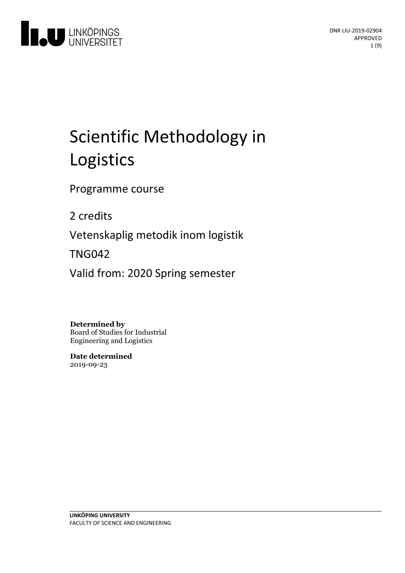

# Scientific Methodology in Logistics

Programme course

2 credits

Vetenskaplig metodik inom logistik

TNG042

Valid from: 2020 Spring semester

**Determined by**

Board of Studies for Industrial Engineering and Logistics

**Date determined** 2019-09-23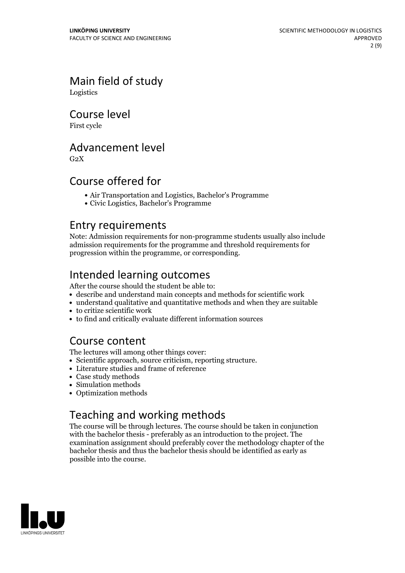## Main field of study

Logistics

Course level

First cycle

## Advancement level

 $G<sub>2</sub>X$ 

## Course offered for

- Air Transportation and Logistics, Bachelor's Programme
- Civic Logistics, Bachelor's Programme

### Entry requirements

Note: Admission requirements for non-programme students usually also include admission requirements for the programme and threshold requirements for progression within the programme, or corresponding.

## Intended learning outcomes

After the course should the student be able to:

- describe and understand main concepts and methods for scientific work
- understand qualitative and quantitative methods and when they are suitable
- to critize scientific work
- to find and critically evaluate different information sources

## Course content

The lectures will among other things cover:

- Scientific approach, source criticism, reporting structure.
- Literature studies and frame of reference
- Case study methods
- Simulation methods
- Optimization methods

## Teaching and working methods

The course will be through lectures. The course should be taken in conjunction with the bachelor thesis - preferably as an introduction to the project. The examination assignment should preferably cover the methodology chapter of the bachelor thesis and thus the bachelor thesis should be identified as early as possible into the course.

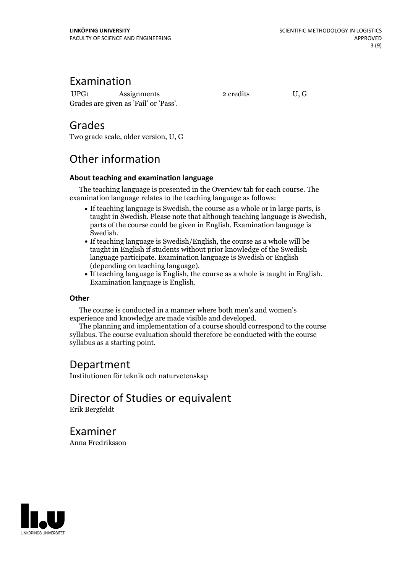## Examination

UPG1 Assignments 2 credits U, G Grades are given as'Fail' or 'Pass'.

## Grades

Two grade scale, older version, U, G

## Other information

#### **About teaching and examination language**

The teaching language is presented in the Overview tab for each course. The examination language relates to the teaching language as follows:

- If teaching language is Swedish, the course as a whole or in large parts, is taught in Swedish. Please note that although teaching language is Swedish, parts of the course could be given in English. Examination language is
- Swedish.<br>• If teaching language is Swedish/English, the course as a whole will be taught in English if students without prior knowledge of the Swedish language participate. Examination language is Swedish or English
- $\bullet$  If teaching language is English, the course as a whole is taught in English. Examination language is English.

#### **Other**

The course is conducted in a manner where both men's and women's

The planning and implementation of a course should correspond to the course syllabus. The course evaluation should therefore be conducted with the course syllabus as a starting point.

## Department

Institutionen för teknik och naturvetenskap

#### Director of Studies or equivalent Erik Bergfeldt

Examiner Anna Fredriksson

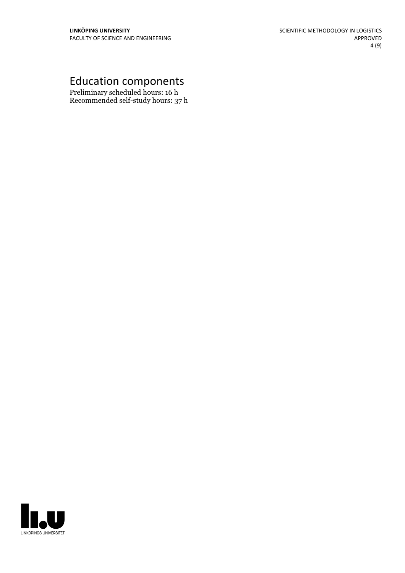## Education components

Preliminary scheduled hours: 16 h Recommended self-study hours: 37 h

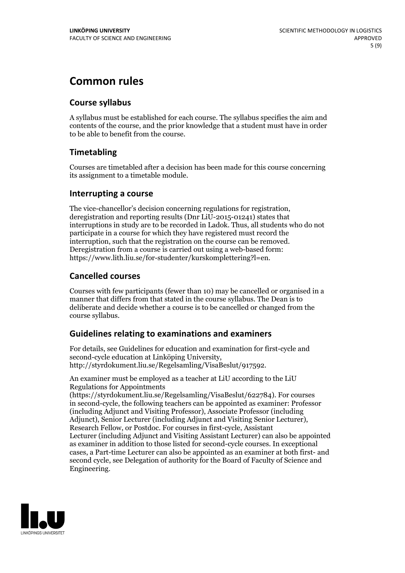## **Common rules**

#### **Course syllabus**

A syllabus must be established for each course. The syllabus specifies the aim and contents of the course, and the prior knowledge that a student must have in order to be able to benefit from the course.

#### **Timetabling**

Courses are timetabled after a decision has been made for this course concerning its assignment to a timetable module.

#### **Interrupting a course**

The vice-chancellor's decision concerning regulations for registration, deregistration and reporting results (Dnr LiU-2015-01241) states that interruptions in study are to be recorded in Ladok. Thus, all students who do not participate in a course for which they have registered must record the interruption, such that the registration on the course can be removed. Deregistration from <sup>a</sup> course is carried outusing <sup>a</sup> web-based form: https://www.lith.liu.se/for-studenter/kurskomplettering?l=en.

#### **Cancelled courses**

Courses with few participants (fewer than 10) may be cancelled or organised in a manner that differs from that stated in the course syllabus. The Dean is to deliberate and decide whether a course is to be cancelled or changed from the course syllabus.

#### **Guidelines relatingto examinations and examiners**

For details, see Guidelines for education and examination for first-cycle and second-cycle education at Linköping University, http://styrdokument.liu.se/Regelsamling/VisaBeslut/917592.

An examiner must be employed as a teacher at LiU according to the LiU Regulations for Appointments

(https://styrdokument.liu.se/Regelsamling/VisaBeslut/622784). For courses in second-cycle, the following teachers can be appointed as examiner: Professor (including Adjunct and Visiting Professor), Associate Professor (including Adjunct), Senior Lecturer (including Adjunct and Visiting Senior Lecturer), Research Fellow, or Postdoc. For courses in first-cycle, Assistant Lecturer (including Adjunct and Visiting Assistant Lecturer) can also be appointed as examiner in addition to those listed for second-cycle courses. In exceptional cases, a Part-time Lecturer can also be appointed as an examiner at both first- and second cycle, see Delegation of authority for the Board of Faculty of Science and Engineering.

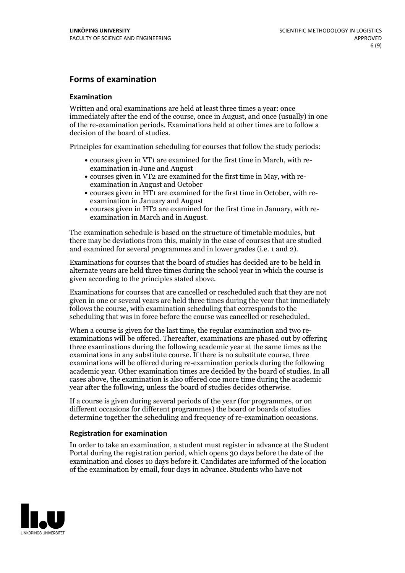#### **Forms of examination**

#### **Examination**

Written and oral examinations are held at least three times a year: once immediately after the end of the course, once in August, and once (usually) in one of the re-examination periods. Examinations held at other times are to follow a decision of the board of studies.

Principles for examination scheduling for courses that follow the study periods:

- courses given in VT1 are examined for the first time in March, with re-examination in June and August
- courses given in VT2 are examined for the first time in May, with re-examination in August and October
- courses given in HT1 are examined for the first time in October, with re-examination in January and August
- courses given in HT2 are examined for the first time in January, with re-examination in March and in August.

The examination schedule is based on the structure of timetable modules, but there may be deviations from this, mainly in the case of courses that are studied and examined for several programmes and in lower grades (i.e. 1 and 2).

Examinations for courses that the board of studies has decided are to be held in alternate years are held three times during the school year in which the course is given according to the principles stated above.

Examinations for courses that are cancelled orrescheduled such that they are not given in one or several years are held three times during the year that immediately follows the course, with examination scheduling that corresponds to the scheduling that was in force before the course was cancelled or rescheduled.

When a course is given for the last time, the regular examination and two re-<br>examinations will be offered. Thereafter, examinations are phased out by offering three examinations during the following academic year at the same times as the examinations in any substitute course. If there is no substitute course, three examinations will be offered during re-examination periods during the following academic year. Other examination times are decided by the board of studies. In all cases above, the examination is also offered one more time during the academic year after the following, unless the board of studies decides otherwise.

If a course is given during several periods of the year (for programmes, or on different occasions for different programmes) the board or boards of studies determine together the scheduling and frequency of re-examination occasions.

#### **Registration for examination**

In order to take an examination, a student must register in advance at the Student Portal during the registration period, which opens 30 days before the date of the examination and closes 10 days before it. Candidates are informed of the location of the examination by email, four days in advance. Students who have not

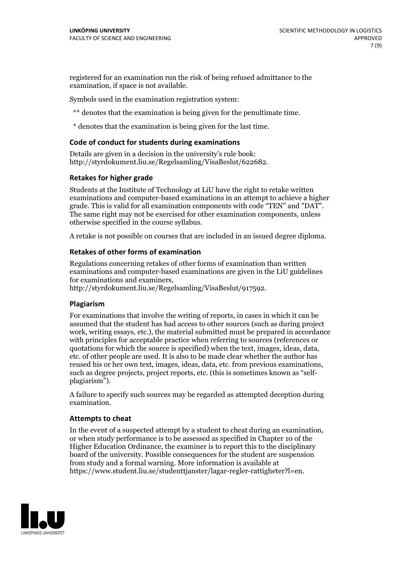registered for an examination run the risk of being refused admittance to the examination, if space is not available.

Symbols used in the examination registration system:

\*\* denotes that the examination is being given for the penultimate time.

\* denotes that the examination is being given for the last time.

#### **Code of conduct for students during examinations**

Details are given in a decision in the university's rule book: http://styrdokument.liu.se/Regelsamling/VisaBeslut/622682.

#### **Retakes for higher grade**

Students at the Institute of Technology at LiU have the right to retake written examinations and computer-based examinations in an attempt to achieve a higher grade. This is valid for all examination components with code "TEN" and "DAT". The same right may not be exercised for other examination components, unless otherwise specified in the course syllabus.

A retake is not possible on courses that are included in an issued degree diploma.

#### **Retakes of other forms of examination**

Regulations concerning retakes of other forms of examination than written examinations and computer-based examinations are given in the LiU guidelines

http://styrdokument.liu.se/Regelsamling/VisaBeslut/917592.

#### **Plagiarism**

For examinations that involve the writing of reports, in cases in which it can be assumed that the student has had access to other sources (such as during project work, writing essays, etc.), the material submitted must be prepared in accordance with principles for acceptable practice when referring to sources (references or quotations for which the source is specified) when the text, images, ideas, data,  $\vec{e}$  etc. of other people are used. It is also to be made clear whether the author has reused his or her own text, images, ideas, data, etc. from previous examinations, such as degree projects, project reports, etc. (this is sometimes known as "self- plagiarism").

A failure to specify such sources may be regarded as attempted deception during examination.

#### **Attempts to cheat**

In the event of <sup>a</sup> suspected attempt by <sup>a</sup> student to cheat during an examination, or when study performance is to be assessed as specified in Chapter <sup>10</sup> of the Higher Education Ordinance, the examiner is to report this to the disciplinary board of the university. Possible consequences for the student are suspension from study and a formal warning. More information is available at https://www.student.liu.se/studenttjanster/lagar-regler-rattigheter?l=en.

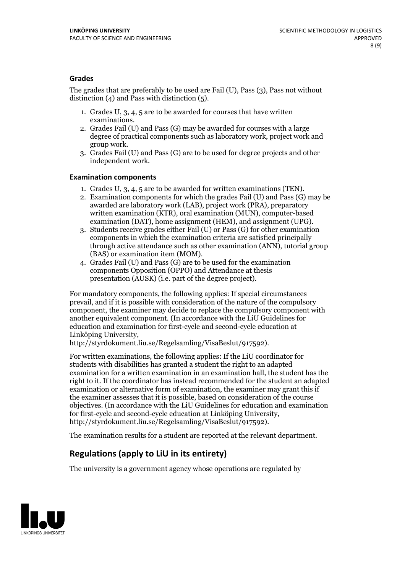#### **Grades**

The grades that are preferably to be used are Fail (U), Pass (3), Pass not without distinction  $(4)$  and Pass with distinction  $(5)$ .

- 1. Grades U, 3, 4, 5 are to be awarded for courses that have written
- examinations. 2. Grades Fail (U) and Pass (G) may be awarded for courses with <sup>a</sup> large degree of practical components such as laboratory work, project work and group work. 3. Grades Fail (U) and Pass (G) are to be used for degree projects and other
- independent work.

#### **Examination components**

- 
- 1. Grades U, 3, 4, <sup>5</sup> are to be awarded for written examinations (TEN). 2. Examination components for which the grades Fail (U) and Pass (G) may be awarded are laboratory work (LAB), project work (PRA), preparatory written examination (KTR), oral examination (MUN), computer-based
- examination (DAT), home assignment (HEM), and assignment (UPG). 3. Students receive grades either Fail (U) or Pass (G) for other examination components in which the examination criteria are satisfied principally through active attendance such as other examination (ANN), tutorial group
- (BAS) or examination item (MOM). 4. Grades Fail (U) and Pass (G) are to be used for the examination components Opposition (OPPO) and Attendance at thesis presentation (AUSK) (i.e. part of the degree project).

For mandatory components, the following applies: If special circumstances prevail, and if it is possible with consideration of the nature of the compulsory component, the examiner may decide to replace the compulsory component with another equivalent component. (In accordance with the LiU Guidelines for education and examination for first-cycle and second-cycle education at Linköping University, http://styrdokument.liu.se/Regelsamling/VisaBeslut/917592).

For written examinations, the following applies: If the LiU coordinator for students with disabilities has granted a student the right to an adapted examination for a written examination in an examination hall, the student has the right to it. If the coordinator has instead recommended for the student an adapted examination or alternative form of examination, the examiner may grant this if the examiner assesses that it is possible, based on consideration of the course objectives. (In accordance with the LiU Guidelines for education and examination for first-cycle and second-cycle education at Linköping University, http://styrdokument.liu.se/Regelsamling/VisaBeslut/917592).

The examination results for a student are reported at the relevant department.

#### **Regulations (applyto LiU in its entirety)**

The university is a government agency whose operations are regulated by